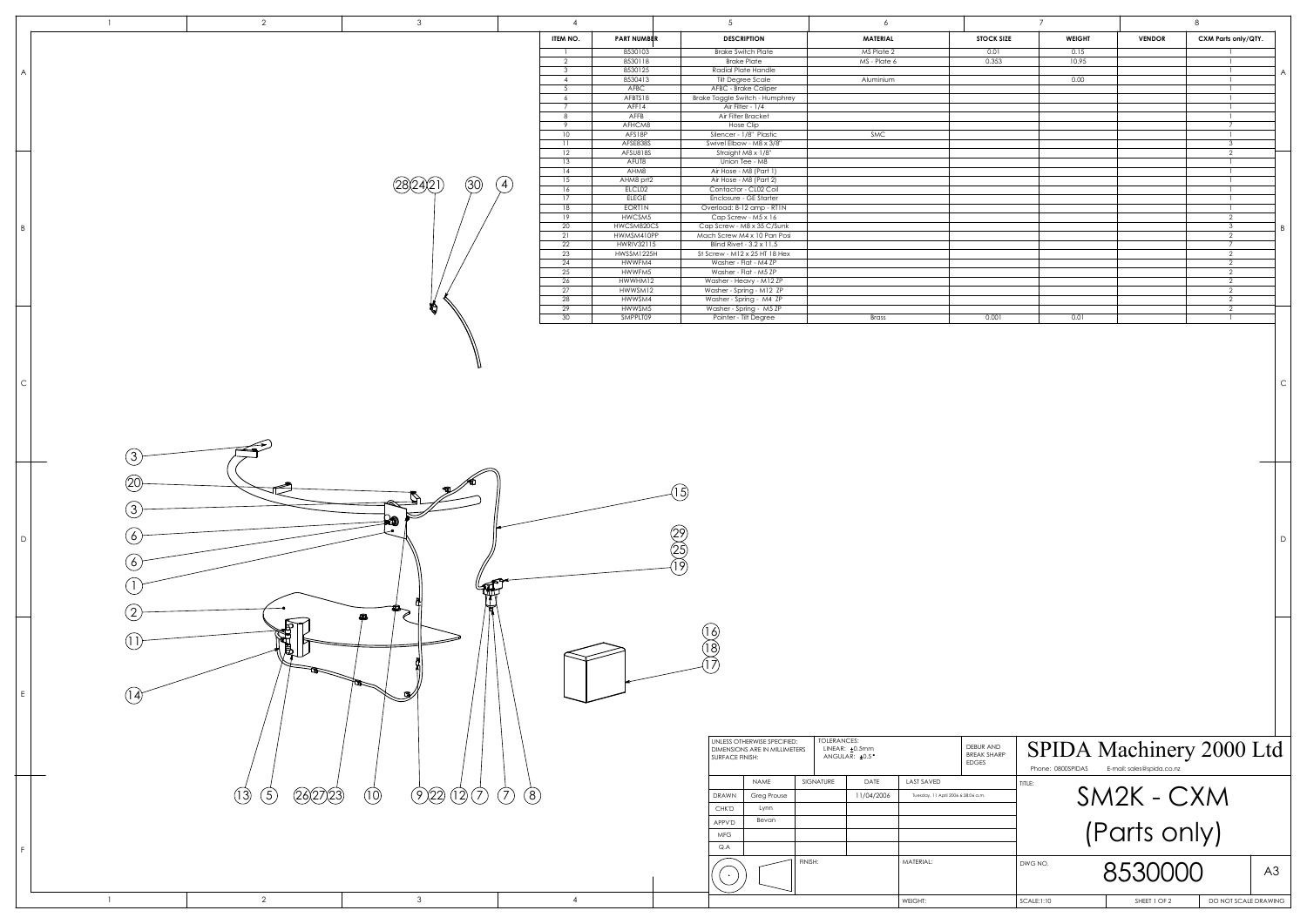|                |                  | $\overline{2}$     | $\mathbf{3}$                       | $\overline{4}$                   |                               | 5 <sup>5</sup>                                               | 6                                             |                                               | $\overline{7}$        |                           | 8                                         |                |
|----------------|------------------|--------------------|------------------------------------|----------------------------------|-------------------------------|--------------------------------------------------------------|-----------------------------------------------|-----------------------------------------------|-----------------------|---------------------------|-------------------------------------------|----------------|
|                |                  |                    |                                    | ITEM NO.<br>$\mathbf{1}$         | <b>PART NUMBER</b><br>8530103 | <b>DESCRIPTION</b><br><b>Brake Switch Plate</b>              | MATERIAL<br>MS Plate 2                        | <b>STOCK SIZE</b><br>0.01                     | <b>WEIGHT</b><br>0.15 | <b>VENDOR</b>             | CXM Parts only/QTY.<br>$\overline{1}$     |                |
|                |                  |                    |                                    | 2                                | 8530118                       | <b>Brake Plate</b>                                           | MS - Plate 6                                  | 0.353                                         | 10.95                 |                           | $\mathbf{1}$                              |                |
| $\overline{A}$ |                  |                    |                                    | $\overline{3}$<br>$\overline{4}$ | 8530125<br>8530413            | Radial Plate Handle<br>Tilt Degree Scale                     | Aluminium                                     |                                               | 0.00                  |                           | $\overline{1}$<br>$\overline{1}$          |                |
|                |                  |                    |                                    | $5^{\circ}$<br>6                 | AFBC<br>AFBTS18               | AFBC - Brake Caliper<br>Brake Toggle Switch - Humphrey       |                                               |                                               |                       |                           | $\overline{1}$<br>$\mathbf{1}$            |                |
|                |                  |                    |                                    | $7\overline{ }$                  | AFF14                         | Air Filter - 1/4                                             |                                               |                                               |                       |                           | $\overline{1}$                            |                |
|                |                  |                    |                                    | 8<br>- 9                         | AFFB<br>AFHCM8                | Air Filter Bracket<br><b>Hose Clip</b>                       |                                               |                                               |                       |                           | $\overline{1}$<br>$7\overline{ }$         |                |
|                |                  |                    |                                    | 10                               | AFS18P                        | Silencer - 1/8" Plastic                                      | SMC                                           |                                               |                       |                           | $\overline{1}$                            |                |
|                |                  |                    |                                    | 11<br>12                         | AFSE838S<br>AFSU818S          | Swivel Elbow - M8 x 3/8"<br>Straight M8 x 1/8"               |                                               |                                               |                       |                           | $\overline{\mathbf{3}}$<br>$\overline{2}$ |                |
|                |                  |                    |                                    | 13<br>14                         | AFUT8<br>AHM8                 | Union Tee - M8<br>Air Hose - M8 (Part 1)                     |                                               |                                               |                       |                           | $\overline{1}$<br>$\overline{1}$          |                |
|                |                  |                    | (30)<br>(4)                        | 15                               | AHM8 prt2                     | Air Hose - M8 (Part 2)                                       |                                               |                                               |                       |                           | $\overline{1}$                            |                |
|                |                  |                    |                                    | 16<br>17                         | ELCL02<br><b>ELEGE</b>        | Contactor - CL02 Coil<br><b>Enclosure - GE Starter</b>       |                                               |                                               |                       |                           | $\overline{1}$<br>$\overline{1}$          |                |
|                |                  |                    |                                    | 18<br>19                         | <b>EORTIN</b><br>HWCSM5       | Overload: 8-12 amp - RT1N                                    |                                               |                                               |                       |                           | $\overline{1}$<br>2                       |                |
| $\overline{B}$ |                  |                    |                                    | 20                               | HWCSM820CS                    | Cap Screw - M5 x 16<br>Cap Screw - M8 x 35 C/Sunk            |                                               |                                               |                       |                           | $\overline{\mathbf{3}}$                   | $\overline{B}$ |
|                |                  |                    |                                    | 21<br>22                         | HWMSM410PP<br>HWRIV32115      | Mach Screw M4 x 10 Pan Posi<br>Blind Rivet - 3.2 x 11.5      |                                               |                                               |                       |                           | 2<br>$\overline{7}$                       |                |
|                |                  |                    |                                    | 23                               | HWSSM1225H                    | St Screw - M12 x 25 HT 18 Hex                                |                                               |                                               |                       |                           | 2                                         |                |
|                |                  |                    |                                    | 24<br>25                         | HWWFM4<br>HWWFM5              | Washer - Flat - M4 ZP<br>Washer - Flat - M5 ZP               |                                               |                                               |                       |                           | $\overline{2}$<br>$\overline{2}$          |                |
|                |                  |                    |                                    | 26<br>27                         | HWWHM12<br>HWWSM12            | Washer - Heavy - M12 ZP<br>Washer - Spring - M12 ZP          |                                               |                                               |                       |                           | $\overline{2}$<br>$\overline{2}$          |                |
|                |                  |                    |                                    | 28                               | HWWSM4                        | Washer - Spring - M4 ZP                                      |                                               |                                               |                       |                           | $\overline{2}$                            |                |
|                |                  |                    | Ð                                  | 29<br>30                         | HWWSM5<br>SMPPLT09            | Washer - Spring - M5 ZP<br>Pointer - Tilt Degree             | Brass                                         | 0.001                                         | 0.01                  |                           | 2<br>$\mathbf{1}$                         |                |
|                |                  |                    |                                    |                                  |                               |                                                              |                                               |                                               |                       |                           |                                           |                |
|                |                  |                    |                                    |                                  |                               |                                                              |                                               |                                               |                       |                           |                                           |                |
|                |                  |                    |                                    |                                  |                               |                                                              |                                               |                                               |                       |                           |                                           |                |
|                |                  |                    |                                    |                                  |                               |                                                              |                                               |                                               |                       |                           |                                           |                |
| $\overline{C}$ |                  |                    |                                    |                                  |                               |                                                              |                                               |                                               |                       |                           |                                           | $\epsilon$     |
|                |                  |                    |                                    |                                  |                               |                                                              |                                               |                                               |                       |                           |                                           |                |
|                |                  |                    |                                    |                                  |                               |                                                              |                                               |                                               |                       |                           |                                           |                |
|                |                  |                    |                                    |                                  |                               |                                                              |                                               |                                               |                       |                           |                                           |                |
|                | 3                |                    |                                    |                                  |                               |                                                              |                                               |                                               |                       |                           |                                           |                |
|                |                  |                    |                                    |                                  |                               |                                                              |                                               |                                               |                       |                           |                                           |                |
|                | $20 \,$          |                    |                                    |                                  |                               |                                                              |                                               |                                               |                       |                           |                                           |                |
|                |                  |                    | P                                  |                                  |                               | $\mathfrak{f}$                                               |                                               |                                               |                       |                           |                                           |                |
|                | $\left(3\right)$ |                    |                                    |                                  |                               |                                                              |                                               |                                               |                       |                           |                                           |                |
|                |                  |                    | 40                                 |                                  |                               |                                                              |                                               |                                               |                       |                           |                                           |                |
| D              | 6 <sub>o</sub>   |                    |                                    |                                  |                               | $\begin{pmatrix} 29 \\ 25 \\ 19 \end{pmatrix}$               |                                               |                                               |                       |                           |                                           | D              |
|                | 6                |                    |                                    |                                  |                               |                                                              |                                               |                                               |                       |                           |                                           |                |
|                |                  |                    |                                    |                                  |                               |                                                              |                                               |                                               |                       |                           |                                           |                |
|                |                  |                    |                                    |                                  |                               |                                                              |                                               |                                               |                       |                           |                                           |                |
|                |                  |                    |                                    |                                  |                               |                                                              |                                               |                                               |                       |                           |                                           |                |
|                |                  |                    | Ω                                  |                                  |                               |                                                              |                                               |                                               |                       |                           |                                           |                |
|                |                  | RETT'              |                                    |                                  |                               | (16)                                                         |                                               |                                               |                       |                           |                                           |                |
|                |                  | Đ.                 |                                    |                                  |                               | $\left(18\right)$                                            |                                               |                                               |                       |                           |                                           |                |
|                |                  |                    |                                    |                                  |                               |                                                              |                                               |                                               |                       |                           |                                           |                |
|                |                  |                    |                                    |                                  |                               |                                                              |                                               |                                               |                       |                           |                                           |                |
|                | (14              |                    |                                    |                                  |                               |                                                              |                                               |                                               |                       |                           |                                           |                |
|                |                  |                    |                                    |                                  |                               |                                                              |                                               |                                               |                       |                           |                                           |                |
|                |                  |                    |                                    |                                  |                               |                                                              |                                               |                                               |                       |                           |                                           |                |
|                |                  |                    |                                    |                                  |                               | UNLESS OTHERWISE SPECIFIED:<br>DIMENSIONS ARE IN MILLIMETERS | <b>TOLERANCES:</b><br>LINEAR: ±0.5mm          |                                               |                       |                           |                                           |                |
|                |                  |                    |                                    |                                  |                               | SURFACE FINISH:                                              | ANGULAR: ±0.5°                                | DEBUR AND<br>BREAK SHARP<br>EDGES             |                       |                           | SPIDA Machinery 2000 Ltd                  |                |
|                |                  |                    |                                    |                                  |                               |                                                              |                                               |                                               | Phone: 0800SPIDAS     | E-mail: sales@spida.co.nz |                                           |                |
|                |                  | (26)27(23)<br>(13) | (22) (27) (7) (8)<br>$\circled{1}$ |                                  |                               | NAME<br>DRAWN<br>Greg Prouse                                 | LAST SAVED<br>SIGNATURE<br>DATE<br>11/04/2006 | TITLE:<br>Tuesday, 11 April 2006 6:38:06 a.m. |                       |                           |                                           |                |
|                |                  | $\binom{5}{ }$     |                                    |                                  |                               | Lynn<br>CHK'D                                                |                                               |                                               |                       | SM2K - CXM                |                                           |                |
|                |                  |                    |                                    |                                  |                               | Bevan<br>APPV'D                                              |                                               |                                               |                       |                           |                                           |                |
|                |                  |                    |                                    |                                  |                               | <b>MFG</b>                                                   |                                               |                                               |                       | (Parts only)              |                                           |                |
|                |                  |                    |                                    |                                  |                               | Q.A                                                          |                                               |                                               |                       |                           |                                           |                |
|                |                  |                    |                                    |                                  |                               |                                                              | FINISH:<br>MATERIAL:                          |                                               | DWG NO.               | 8530000                   |                                           | A3             |
|                |                  |                    |                                    |                                  |                               |                                                              |                                               |                                               |                       |                           |                                           |                |
|                | $\overline{1}$   | $\overline{2}$     | $\mathbf{3}$                       | $\overline{4}$                   |                               |                                                              | WEIGHT:                                       |                                               | SCALE:1:10            | SHEET 1 OF 2              | DO NOT SCALE DRAWING                      |                |